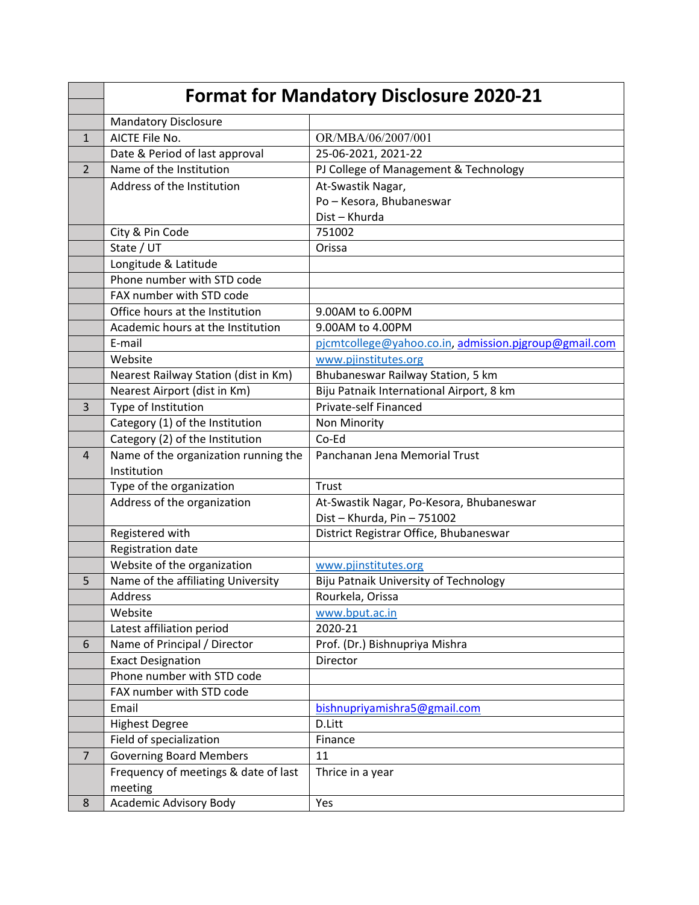|                | <b>Format for Mandatory Disclosure 2020-21</b> |                                                       |  |
|----------------|------------------------------------------------|-------------------------------------------------------|--|
|                | <b>Mandatory Disclosure</b>                    |                                                       |  |
| 1              | AICTE File No.                                 | OR/MBA/06/2007/001                                    |  |
|                | Date & Period of last approval                 | 25-06-2021, 2021-22                                   |  |
| 2              | Name of the Institution                        | PJ College of Management & Technology                 |  |
|                | Address of the Institution                     | At-Swastik Nagar,                                     |  |
|                |                                                | Po - Kesora, Bhubaneswar                              |  |
|                |                                                | Dist - Khurda                                         |  |
|                | City & Pin Code                                | 751002                                                |  |
|                | $\overline{\mathsf{State}}$ / UT               | Orissa                                                |  |
|                | Longitude & Latitude                           |                                                       |  |
|                | Phone number with STD code                     |                                                       |  |
|                | FAX number with STD code                       |                                                       |  |
|                | Office hours at the Institution                | 9.00AM to 6.00PM                                      |  |
|                | Academic hours at the Institution              | 9.00AM to 4.00PM                                      |  |
|                | E-mail                                         | pjcmtcollege@yahoo.co.in, admission.pjgroup@gmail.com |  |
|                | Website                                        | www.pjinstitutes.org                                  |  |
|                | Nearest Railway Station (dist in Km)           | Bhubaneswar Railway Station, 5 km                     |  |
|                | Nearest Airport (dist in Km)                   | Biju Patnaik International Airport, 8 km              |  |
| 3              | Type of Institution                            | Private-self Financed                                 |  |
|                | Category (1) of the Institution                | <b>Non Minority</b>                                   |  |
|                | Category (2) of the Institution                | Co-Ed                                                 |  |
| 4              | Name of the organization running the           | Panchanan Jena Memorial Trust                         |  |
|                | Institution                                    |                                                       |  |
|                | Type of the organization                       | Trust                                                 |  |
|                | Address of the organization                    | At-Swastik Nagar, Po-Kesora, Bhubaneswar              |  |
|                |                                                | Dist - Khurda, Pin - 751002                           |  |
|                | Registered with                                | District Registrar Office, Bhubaneswar                |  |
|                | Registration date                              |                                                       |  |
|                | Website of the organization                    | www.pjinstitutes.org                                  |  |
| 5              | Name of the affiliating University             | Biju Patnaik University of Technology                 |  |
|                | Address                                        | Rourkela, Orissa                                      |  |
|                | Website                                        | www.bput.ac.in                                        |  |
|                | Latest affiliation period                      | 2020-21                                               |  |
| 6              | Name of Principal / Director                   | Prof. (Dr.) Bishnupriya Mishra                        |  |
|                | <b>Exact Designation</b>                       | Director                                              |  |
|                | Phone number with STD code                     |                                                       |  |
|                | FAX number with STD code                       |                                                       |  |
|                | Email                                          | bishnupriyamishra5@gmail.com                          |  |
|                | <b>Highest Degree</b>                          | D.Litt                                                |  |
|                | Field of specialization                        | Finance                                               |  |
| $\overline{7}$ | <b>Governing Board Members</b>                 | 11                                                    |  |
|                | Frequency of meetings & date of last           | Thrice in a year                                      |  |
|                | meeting                                        |                                                       |  |
| 8              | <b>Academic Advisory Body</b>                  | Yes                                                   |  |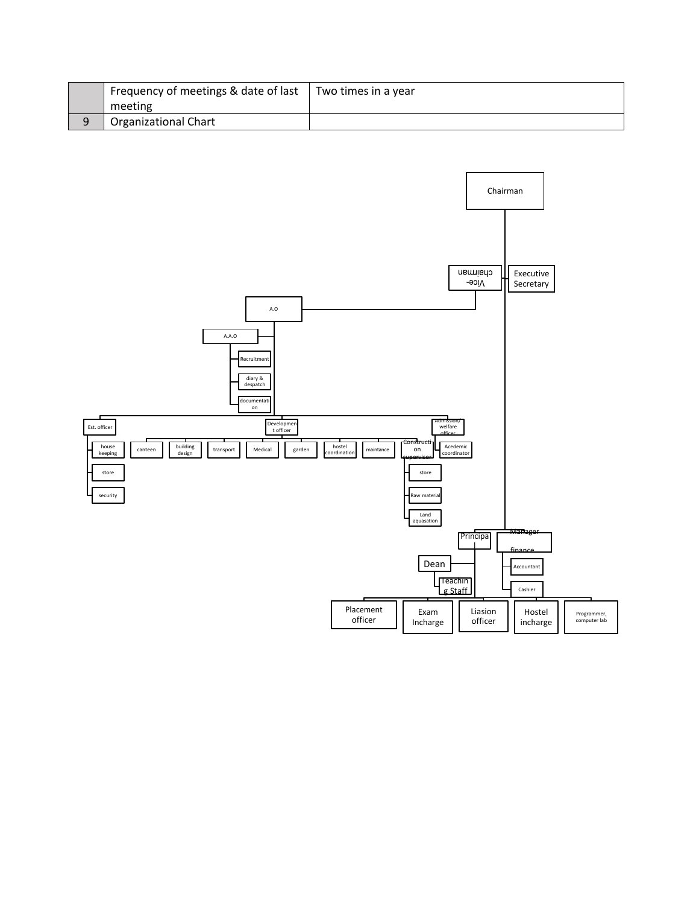| Frequency of meetings & date of last | Two times in a year |
|--------------------------------------|---------------------|
| meeting                              |                     |
| <b>Organizational Chart</b>          |                     |

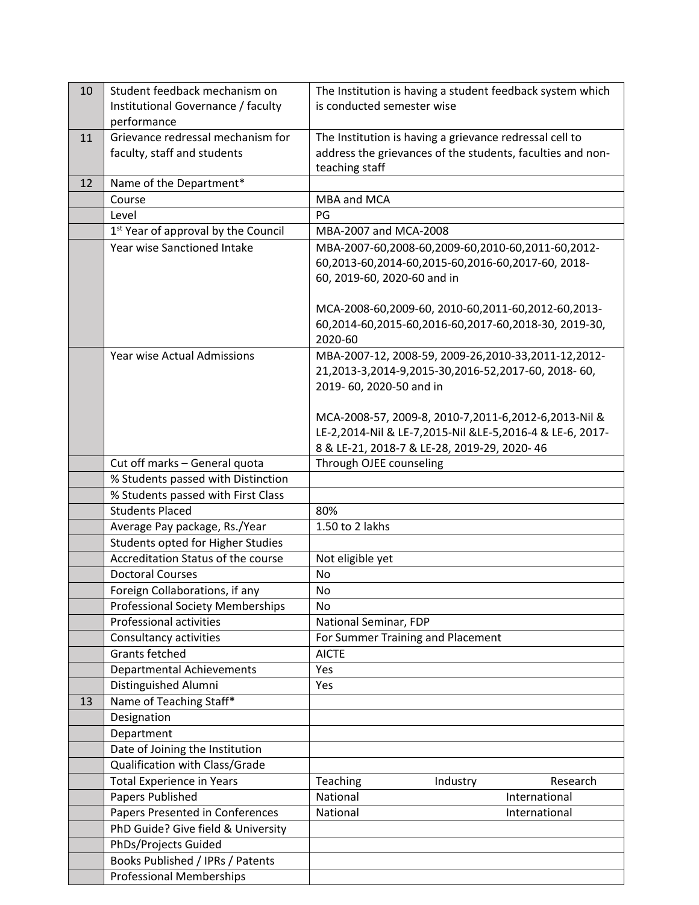| 10 | Student feedback mechanism on                                            | The Institution is having a student feedback system which  |
|----|--------------------------------------------------------------------------|------------------------------------------------------------|
|    | Institutional Governance / faculty                                       | is conducted semester wise                                 |
|    | performance                                                              |                                                            |
| 11 | Grievance redressal mechanism for                                        | The Institution is having a grievance redressal cell to    |
|    | faculty, staff and students                                              | address the grievances of the students, faculties and non- |
|    |                                                                          | teaching staff                                             |
| 12 | Name of the Department*                                                  |                                                            |
|    | Course                                                                   | MBA and MCA                                                |
|    | Level                                                                    | PG                                                         |
|    | 1 <sup>st</sup> Year of approval by the Council                          | MBA-2007 and MCA-2008                                      |
|    | Year wise Sanctioned Intake                                              | MBA-2007-60,2008-60,2009-60,2010-60,2011-60,2012-          |
|    |                                                                          | 60,2013-60,2014-60,2015-60,2016-60,2017-60, 2018-          |
|    |                                                                          | 60, 2019-60, 2020-60 and in                                |
|    |                                                                          |                                                            |
|    |                                                                          | MCA-2008-60,2009-60, 2010-60,2011-60,2012-60,2013-         |
|    |                                                                          | 60,2014-60,2015-60,2016-60,2017-60,2018-30, 2019-30,       |
|    |                                                                          | 2020-60                                                    |
|    | Year wise Actual Admissions                                              | MBA-2007-12, 2008-59, 2009-26, 2010-33, 2011-12, 2012-     |
|    |                                                                          | 21,2013-3,2014-9,2015-30,2016-52,2017-60, 2018-60,         |
|    |                                                                          | 2019-60, 2020-50 and in                                    |
|    |                                                                          |                                                            |
|    |                                                                          | MCA-2008-57, 2009-8, 2010-7, 2011-6, 2012-6, 2013-Nil &    |
|    |                                                                          | LE-2,2014-Nil & LE-7,2015-Nil &LE-5,2016-4 & LE-6, 2017-   |
|    |                                                                          | 8 & LE-21, 2018-7 & LE-28, 2019-29, 2020-46                |
|    | Cut off marks - General quota                                            | Through OJEE counseling                                    |
|    | % Students passed with Distinction<br>% Students passed with First Class |                                                            |
|    | <b>Students Placed</b>                                                   | 80%                                                        |
|    |                                                                          | 1.50 to 2 lakhs                                            |
|    | Average Pay package, Rs./Year<br>Students opted for Higher Studies       |                                                            |
|    | Accreditation Status of the course                                       |                                                            |
|    | <b>Doctoral Courses</b>                                                  | Not eligible yet<br>No                                     |
|    | Foreign Collaborations, if any                                           | No                                                         |
|    | <b>Professional Society Memberships</b>                                  | No                                                         |
|    | <b>Professional activities</b>                                           | National Seminar, FDP                                      |
|    | Consultancy activities                                                   | For Summer Training and Placement                          |
|    | <b>Grants fetched</b>                                                    | <b>AICTE</b>                                               |
|    | Departmental Achievements                                                | Yes                                                        |
|    | Distinguished Alumni                                                     | Yes                                                        |
| 13 | Name of Teaching Staff*                                                  |                                                            |
|    | Designation                                                              |                                                            |
|    | Department                                                               |                                                            |
|    | Date of Joining the Institution                                          |                                                            |
|    | Qualification with Class/Grade                                           |                                                            |
|    | <b>Total Experience in Years</b>                                         | Research<br>Teaching<br>Industry                           |
|    | Papers Published                                                         | National<br>International                                  |
|    | Papers Presented in Conferences                                          | National<br>International                                  |
|    | PhD Guide? Give field & University                                       |                                                            |
|    | PhDs/Projects Guided                                                     |                                                            |
|    | Books Published / IPRs / Patents                                         |                                                            |
|    | <b>Professional Memberships</b>                                          |                                                            |
|    |                                                                          |                                                            |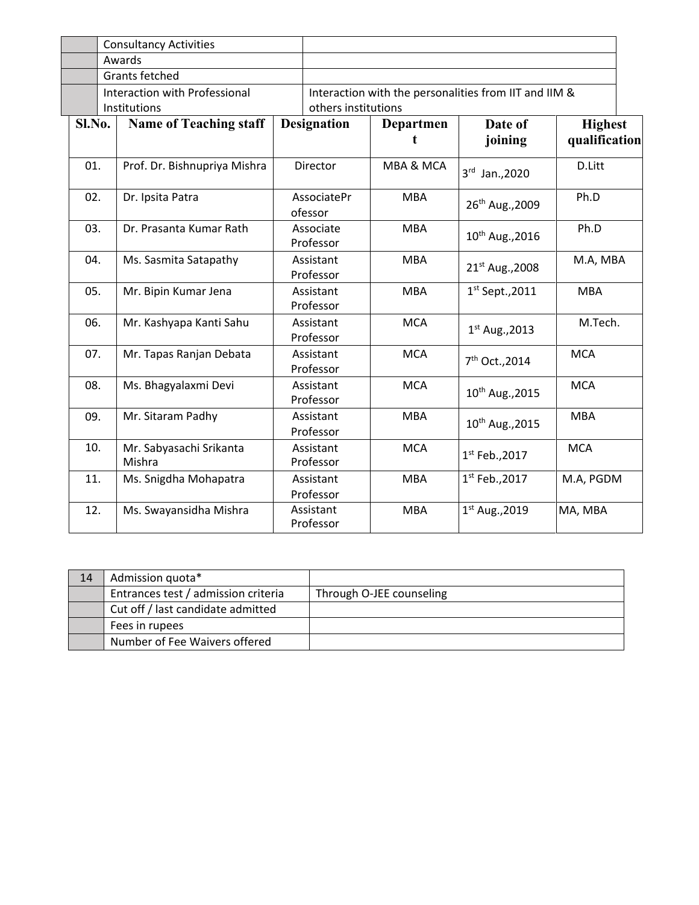|        | <b>Consultancy Activities</b>     |                        |                                                       |                |                             |                                 |
|--------|-----------------------------------|------------------------|-------------------------------------------------------|----------------|-----------------------------|---------------------------------|
|        | Awards                            |                        |                                                       |                |                             |                                 |
|        | <b>Grants fetched</b>             |                        |                                                       |                |                             |                                 |
|        | Interaction with Professional     |                        | Interaction with the personalities from IIT and IIM & |                |                             |                                 |
|        | Institutions                      |                        | others institutions                                   |                |                             |                                 |
| Sl.No. | <b>Name of Teaching staff</b>     |                        | <b>Designation</b>                                    | Departmen<br>t | Date of<br>joining          | <b>Highest</b><br>qualification |
| 01.    | Prof. Dr. Bishnupriya Mishra      | Director               |                                                       | MBA & MCA      | 3rd Jan., 2020              | D.Litt                          |
| 02.    | Dr. Ipsita Patra                  | AssociatePr<br>ofessor |                                                       | <b>MBA</b>     | 26 <sup>th</sup> Aug., 2009 | Ph.D                            |
| 03.    | Dr. Prasanta Kumar Rath           | Associate<br>Professor |                                                       | <b>MBA</b>     | 10 <sup>th</sup> Aug., 2016 | Ph.D                            |
| 04.    | Ms. Sasmita Satapathy             |                        | Assistant<br>Professor                                | <b>MBA</b>     | 21 <sup>st</sup> Aug., 2008 | M.A, MBA                        |
| 05.    | Mr. Bipin Kumar Jena              | Assistant<br>Professor |                                                       | <b>MBA</b>     | $1st$ Sept., 2011           | <b>MBA</b>                      |
| 06.    | Mr. Kashyapa Kanti Sahu           |                        | Assistant<br>Professor                                | <b>MCA</b>     | $1st$ Aug., 2013            | M.Tech.                         |
| 07.    | Mr. Tapas Ranjan Debata           | Assistant<br>Professor |                                                       | <b>MCA</b>     | 7 <sup>th</sup> Oct., 2014  | <b>MCA</b>                      |
| 08.    | Ms. Bhagyalaxmi Devi              | Assistant<br>Professor |                                                       | <b>MCA</b>     | 10 <sup>th</sup> Aug., 2015 | <b>MCA</b>                      |
| 09.    | Mr. Sitaram Padhy                 | Assistant<br>Professor |                                                       | <b>MBA</b>     | 10 <sup>th</sup> Aug., 2015 | <b>MBA</b>                      |
| 10.    | Mr. Sabyasachi Srikanta<br>Mishra | Assistant<br>Professor |                                                       | <b>MCA</b>     | $1^{st}$ Feb., 2017         | <b>MCA</b>                      |
| 11.    | Ms. Snigdha Mohapatra             | Assistant<br>Professor |                                                       | <b>MBA</b>     | $1^{st}$ Feb., 2017         | M.A, PGDM                       |
| 12.    | Ms. Swayansidha Mishra            |                        | Assistant<br>Professor                                | <b>MBA</b>     | $1^{st}$ Aug., 2019         | MA, MBA                         |

| 14 | Admission quota*                    |                          |
|----|-------------------------------------|--------------------------|
|    | Entrances test / admission criteria | Through O-JEE counseling |
|    | Cut off / last candidate admitted   |                          |
|    | Fees in rupees                      |                          |
|    | Number of Fee Waivers offered       |                          |